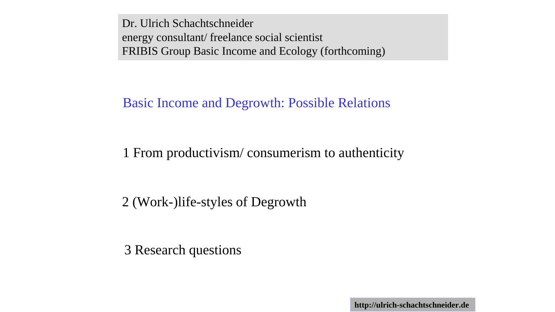Dr. Ulrich Schachtschneider energy consultant/ freelance social scientist FRIBIS Group Basic Income and Ecology (forthcoming)

#### Basic Income and Degrowth: Possible Relations

# 1 From productivism/ consumerism to authenticity

# 2 (Work-)life-styles of Degrowth

3 Research questions

**http://ulrich-schachtschneider.de**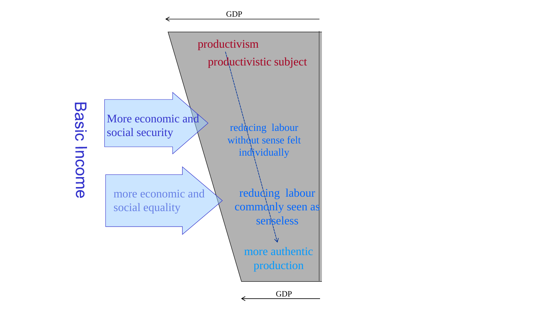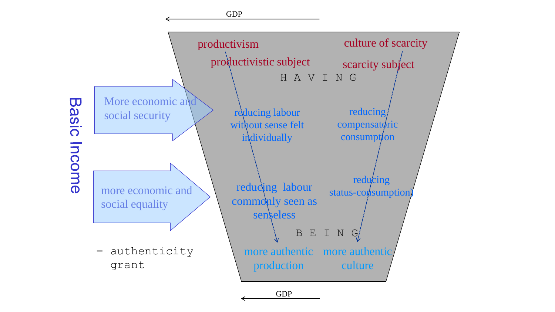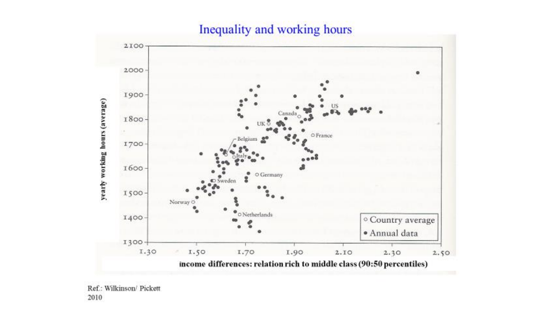### Inequality and working hours



Ref.: Wilkinson/ Pickett 2010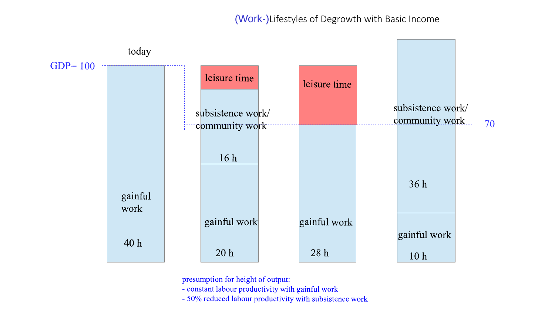#### (Work-)Lifestyles of Degrowth with Basic Income



presumption for height of output:

- constant labour productivity with gainful work
- 50% reduced labour productivity with subsistence work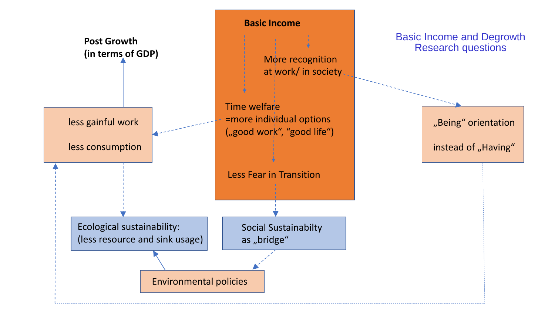